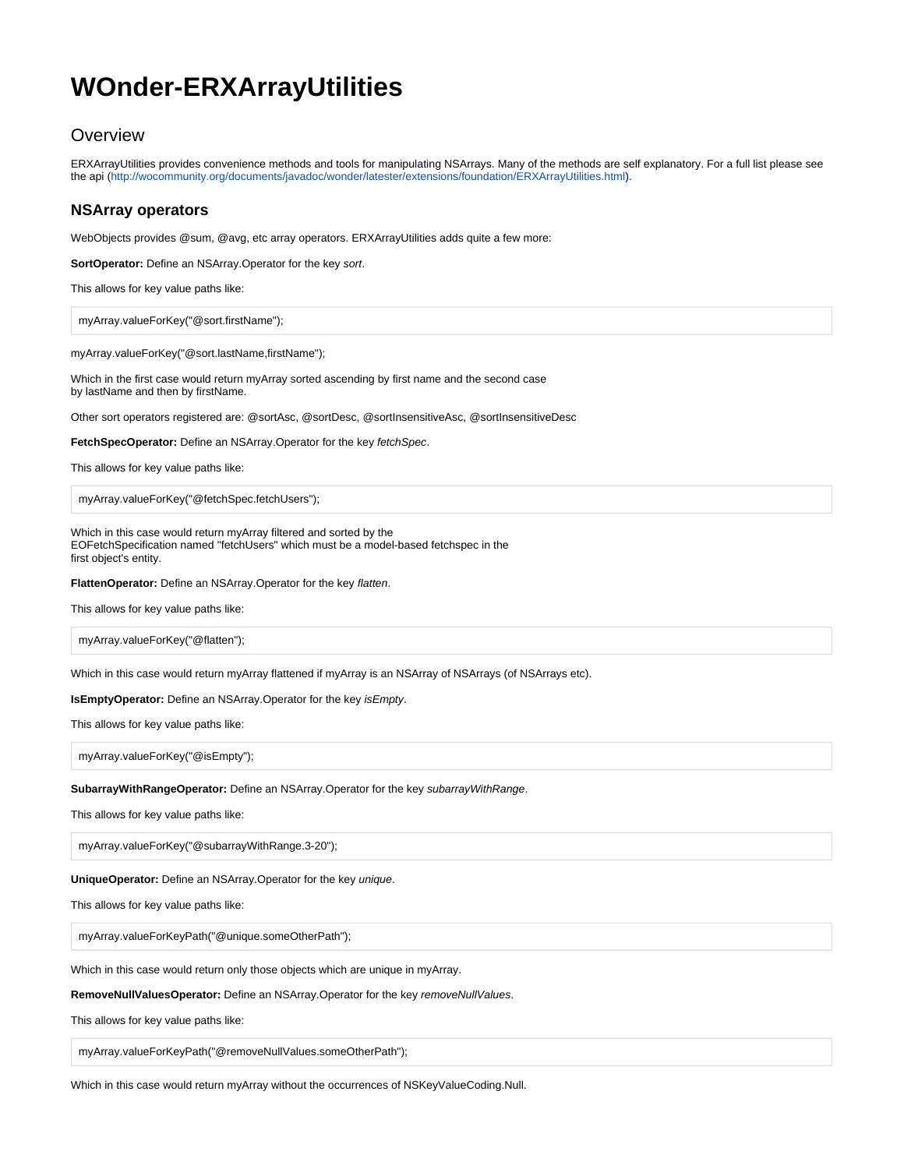# **WOnder-ERXArrayUtilities**

## **Overview**

ERXArrayUtilities provides convenience methods and tools for manipulating NSArrays. Many of the methods are self explanatory. For a full list please see the api [\(http://wocommunity.org/documents/javadoc/wonder/latester/extensions/foundation/ERXArrayUtilities.html\)](http://wocommunity.org/documents/javadoc/wonder/latest/er/extensions/foundation/ERXArrayUtilities.html).

### **NSArray operators**

WebObjects provides @sum, @avg, etc array operators. ERXArrayUtilities adds quite a few more:

**SortOperator:** Define an NSArray.Operator for the key sort.

This allows for key value paths like:

myArray.valueForKey("@sort.firstName");

myArray.valueForKey("@sort.lastName,firstName");

Which in the first case would return myArray sorted ascending by first name and the second case by lastName and then by firstName.

Other sort operators registered are: @sortAsc, @sortDesc, @sortInsensitiveAsc, @sortInsensitiveDesc

**FetchSpecOperator:** Define an NSArray.Operator for the key fetchSpec.

This allows for key value paths like:

myArray.valueForKey("@fetchSpec.fetchUsers");

Which in this case would return myArray filtered and sorted by the EOFetchSpecification named "fetchUsers" which must be a model-based fetchspec in the first object's entity.

**FlattenOperator:** Define an NSArray.Operator for the key flatten.

This allows for key value paths like:

myArray.valueForKey("@flatten");

Which in this case would return myArray flattened if myArray is an NSArray of NSArrays (of NSArrays etc).

**IsEmptyOperator:** Define an NSArray.Operator for the key isEmpty.

This allows for key value paths like:

myArray.valueForKey("@isEmpty");

**SubarrayWithRangeOperator:** Define an NSArray.Operator for the key subarrayWithRange.

This allows for key value paths like:

myArray.valueForKey("@subarrayWithRange.3-20");

#### **UniqueOperator:** Define an NSArray.Operator for the key unique.

This allows for key value paths like:

myArray.valueForKeyPath("@unique.someOtherPath");

Which in this case would return only those objects which are unique in myArray.

**RemoveNullValuesOperator:** Define an NSArray.Operator for the key removeNullValues.

This allows for key value paths like:

myArray.valueForKeyPath("@removeNullValues.someOtherPath");

Which in this case would return myArray without the occurrences of NSKeyValueCoding.Null.